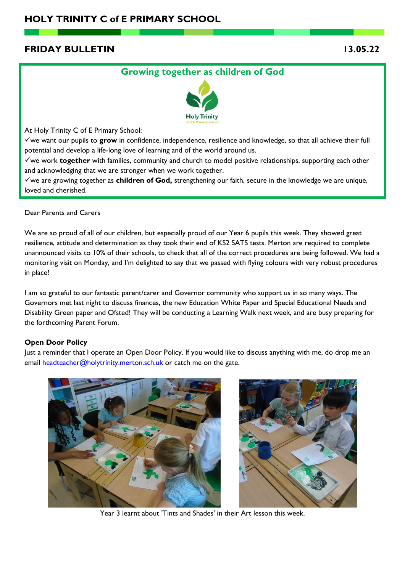# **FRIDAY BULLETIN 13.05.22**

# **Growing together as children of God**



At Holy Trinity C of E Primary School:

✓we want our pupils to **grow** in confidence, independence, resilience and knowledge, so that all achieve their full potential and develop a life-long love of learning and of the world around us.

✓we work **together** with families, community and church to model positive relationships, supporting each other and acknowledging that we are stronger when we work together.

✓we are growing together as **children of God,** strengthening our faith, secure in the knowledge we are unique, loved and cherished.

Dear Parents and Carers

We are so proud of all of our children, but especially proud of our Year 6 pupils this week. They showed great resilience, attitude and determination as they took their end of KS2 SATS tests. Merton are required to complete unannounced visits to 10% of their schools, to check that all of the correct procedures are being followed. We had a monitoring visit on Monday, and I'm delighted to say that we passed with flying colours with very robust procedures in place!

I am so grateful to our fantastic parent/carer and Governor community who support us in so many ways. The Governors met last night to discuss finances, the new Education White Paper and Special Educational Needs and Disability Green paper and Ofsted! They will be conducting a Learning Walk next week, and are busy preparing for the forthcoming Parent Forum.

### **Open Door Policy**

Just a reminder that I operate an Open Door Policy. If you would like to discuss anything with me, do drop me an email [headteacher@holytrinity.merton.sch.uk](mailto:headteacher@holytrinity.merton.sch.uk) or catch me on the gate.





Year 3 learnt about 'Tints and Shades' in their Art lesson this week.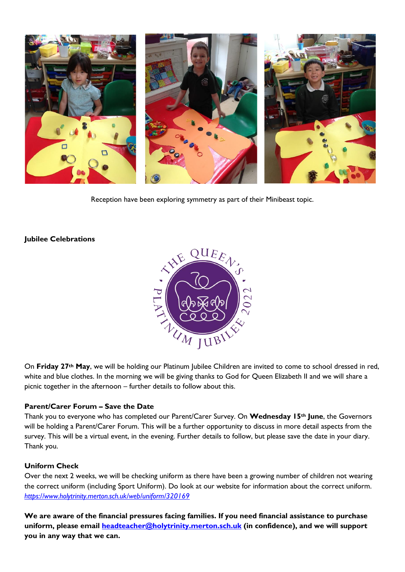

Reception have been exploring symmetry as part of their Minibeast topic.

### **Jubilee Celebrations**



On **Friday 27th May**, we will be holding our Platinum Jubilee Children are invited to come to school dressed in red, white and blue clothes. In the morning we will be giving thanks to God for Queen Elizabeth II and we will share a picnic together in the afternoon – further details to follow about this.

### **Parent/Carer Forum – Save the Date**

Thank you to everyone who has completed our Parent/Carer Survey. On **Wednesday 15th June**, the Governors will be holding a Parent/Carer Forum. This will be a further opportunity to discuss in more detail aspects from the survey. This will be a virtual event, in the evening. Further details to follow, but please save the date in your diary. Thank you.

#### **Uniform Check**

Over the next 2 weeks, we will be checking uniform as there have been a growing number of children not wearing the correct uniform (including Sport Uniform). Do look at our website for information about the correct uniform. *<https://www.holytrinity.merton.sch.uk/web/uniform/320169>*

**We are aware of the financial pressures facing families. If you need financial assistance to purchase uniform, please email [headteacher@holytrinity.merton.sch.uk](mailto:headteacher@holytrinity.merton.sch.uk) (in confidence), and we will support you in any way that we can.**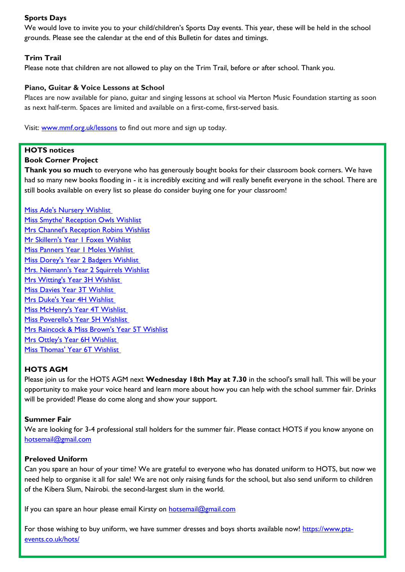### **Sports Days**

We would love to invite you to your child/children's Sports Day events. This year, these will be held in the school grounds. Please see the calendar at the end of this Bulletin for dates and timings.

### **Trim Trail**

Please note that children are not allowed to play on the Trim Trail, before or after school. Thank you.

#### **Piano, Guitar & Voice Lessons at School**

Places are now available for piano, guitar and singing lessons at school via Merton Music Foundation starting as soon as next half-term. Spaces are limited and available on a first-come, first-served basis.

Visit: [www.mmf.org.uk/lessons](https://urldefense.proofpoint.com/v2/url?u=http-3A__www.mmf.org.uk_lessons&d=DwQGaQ&c=euGZstcaTDllvimEN8b7jXrwqOf-v5A_CdpgnVfiiMM&r=QeFwkzdD4ft19peGjJ0IU1gUVCaKNJn1UjekQMF_5f4&m=VWHX5OQiS67doVCDut44r6lXJV7eYdmxaR7sPvK5a8Y&s=UwgX8egB3Kevcj-JF0ojvPCHO-kmU3ZIuj_QsreMnSM&e=) to find out more and sign up today.

### **HOTS notices**

#### **Book Corner Project**

**Thank you so much** to everyone who has generously bought books for their classroom book corners. We have had so many new books flooding in - it is incredibly exciting and will really benefit everyone in the school. There are still books available on every list so please do consider buying one for your classroom!

[Miss Ade's Nursery Wishlist](https://www.amazon.co.uk/hz/wishlist/ls/2XL7OMLODSB1B?ref_=wl_share) [Miss Smythe' Reception Owls Wishlist](https://www.amazon.co.uk/hz/wishlist/ls/2OKQ00BD2H9Z?ref_=wl_share) [Mrs Channel's Reception Robins Wishlist](https://www.amazon.co.uk/hz/wishlist/ls/2YO3A4PH1W2A7?ref_=wl_share) [Mr Skillern's Year 1 Foxes Wishlist](https://www.amazon.co.uk/hz/wishlist/ls/1RWI799MAKYBN?ref_=wl_share) [Miss Panners Year 1 Moles Wishlist](https://www.amazon.co.uk/hz/wishlist/ls/2ZACWYO9N3RZU?ref_=wl_share) [Miss Dorey's Year 2 Badgers Wishlist](https://www.amazon.co.uk/hz/wishlist/ls/1PANPD4CXRZP5?ref_=wl_share) [Mrs. Niemann's Year 2 Squirrels Wishlist](https://www.amazon.co.uk/hz/wishlist/ls/2YLIZPE4KDL6Q?ref_=wl_share) [Mrs Witting's Year 3H Wishlist](https://www.amazon.co.uk/hz/wishlist/ls/3I31HYDRFWZN2?ref_=wl_share) [Miss Davies Year 3T Wishlist](https://www.amazon.co.uk/hz/wishlist/ls/10C5D7E4NIDRH?ref_=wl_share) Mrs [Duke's Year 4H Wishlist](https://www.amazon.co.uk/hz/wishlist/ls/1K8LEPA8RC5BA?ref_=wl_share) [Miss McHenry's Year 4T Wishlist](https://www.amazon.co.uk/hz/wishlist/ls/8JXCKFB87Z7S?ref_=wl_share) [Miss Poverello's Year 5H Wishlist](https://www.amazon.co.uk/hz/wishlist/ls/HTLBN2LYEULE?ref_=wl_share) [Mrs Raincock & Miss Brown's Year 5T Wishlist](https://www.amazon.co.uk/hz/wishlist/ls/1IBIV04TXPLCT?ref_=wl_share) [Mrs Ottley's Year 6H Wishlist](https://www.amazon.co.uk/hz/wishlist/ls/M3JPA2J04P2W?ref_=wl_share) [Miss Thomas' Year 6T Wishlist](https://www.amazon.co.uk/hz/wishlist/ls/2EVFV244SLL0T?ref_=wl_share)

#### **HOTS AGM**

Please join us for the HOTS AGM next **Wednesday 18th May at 7.30** in the school's small hall. This will be your opportunity to make your voice heard and learn more about how you can help with the school summer fair. Drinks will be provided! Please do come along and show your support.

#### **Summer Fair**

We are looking for 3-4 professional stall holders for the summer fair. Please contact HOTS if you know anyone on [hotsemail@gmail.com](mailto:hotsemail@gmail.com)

#### **Preloved Uniform**

Can you spare an hour of your time? We are grateful to everyone who has donated uniform to HOTS, but now we need help to organise it all for sale! We are not only raising funds for the school, but also send uniform to children of the Kibera Slum, Nairobi. the second-largest slum in the world.

If you can spare an hour please email Kirsty on [hotsemail@gmail.com](mailto:hotsemail@gmail.com)

For those wishing to buy uniform, we have summer dresses and boys shorts available now! [https://www.pta](https://www.pta-events.co.uk/hots/index.cfm?event=Shop#.YntbcujMJPY)[events.co.uk/hots/](https://www.pta-events.co.uk/hots/index.cfm?event=Shop#.YntbcujMJPY)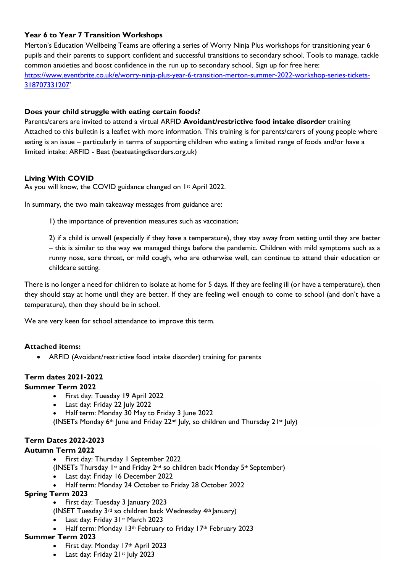## **Year 6 to Year 7 Transition Workshops**

Merton's Education Wellbeing Teams are offering a series of Worry Ninja Plus workshops for transitioning year 6 pupils and their parents to support confident and successful transitions to secondary school. Tools to manage, tackle common anxieties and boost confidence in the run up to secondary school. Sign up for free here: [https://www.eventbrite.co.uk/e/worry-ninja-plus-year-6-transition-merton-summer-2022-workshop-series-tickets-](https://www.eventbrite.co.uk/e/worry-ninja-plus-year-6-transition-merton-summer-2022-workshop-series-tickets-318707331207)[318707331207](https://www.eventbrite.co.uk/e/worry-ninja-plus-year-6-transition-merton-summer-2022-workshop-series-tickets-318707331207)'

## **Does your child struggle with eating certain foods?**

Parents/carers are invited to attend a virtual ARFID **Avoidant/restrictive food intake disorder** training Attached to this bulletin is a leaflet with more information. This training is for parents/carers of young people where eating is an issue – particularly in terms of supporting children who eating a limited range of foods and/or have a limited intake: ARFID - [Beat \(beateatingdisorders.org.uk\)](https://www.beateatingdisorders.org.uk/get-information-and-support/about-eating-disorders/types/arfid/)

## **Living With COVID**

As you will know, the COVID guidance changed on 1<sup>st</sup> April 2022.

In summary, the two main takeaway messages from guidance are:

1) the importance of prevention measures such as vaccination;

2) if a child is unwell (especially if they have a temperature), they stay away from setting until they are better – this is similar to the way we managed things before the pandemic. Children with mild symptoms such as a runny nose, sore throat, or mild cough, who are otherwise well, can continue to attend their education or childcare setting.

There is no longer a need for children to isolate at home for 5 days. If they are feeling ill (or have a temperature), then they should stay at home until they are better. If they are feeling well enough to come to school (and don't have a temperature), then they should be in school.

We are very keen for school attendance to improve this term.

## **Attached items:**

• ARFID (Avoidant/restrictive food intake disorder) training for parents

## **Term dates 2021-2022**

### **Summer Term 2022**

- First day: Tuesday 19 April 2022
- Last day: Friday 22 July 2022
- Half term: Monday 30 May to Friday 3 June 2022

(INSETs Monday 6<sup>th</sup> June and Friday 22<sup>nd</sup> July, so children end Thursday 21st July)

## **Term Dates 2022-2023**

## **Autumn Term 2022**

- First day: Thursday 1 September 2022
- (INSETs Thursday 1st and Friday  $2^{nd}$  so children back Monday 5<sup>th</sup> September)
- Last day: Friday 16 December 2022
- Half term: Monday 24 October to Friday 28 October 2022

## **Spring Term 2023**

- First day: Tuesday 3 January 2023
- (INSET Tuesday 3rd so children back Wednesday 4th January)
- Last day: Friday 31st March 2023
- Half term: Monday 13th February to Friday 17th February 2023

### **Summer Term 2023**

- First day: Monday 17th April 2023
- Last day: Friday 21st July 2023